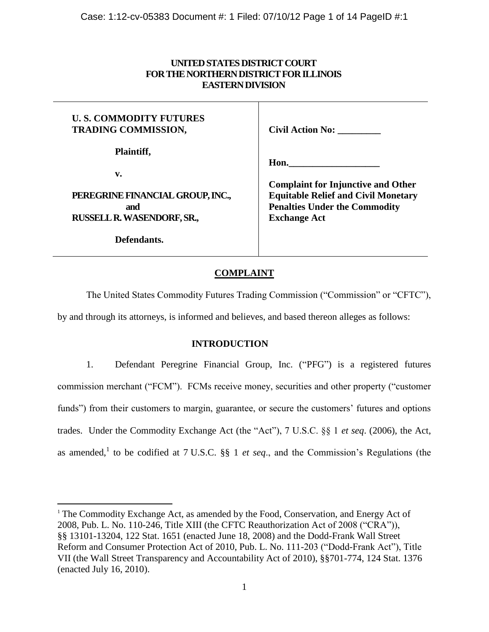# **UNITED STATES DISTRICT COURT FOR THE NORTHERN DISTRICT FOR ILLINOIS EASTERN DIVISION**

### **U. S. COMMODITY FUTURES TRADING COMMISSION, Plaintiff, v. PEREGRINE FINANCIAL GROUP, INC., and RUSSELL R. WASENDORF, SR., Defendants. Civil Action No: \_\_\_\_\_\_\_\_\_ Hon.\_\_\_\_\_\_\_\_\_\_\_\_\_\_\_\_\_\_\_ Complaint for Injunctive and Other Equitable Relief and Civil Monetary Penalties Under the Commodity Exchange Act**

# **COMPLAINT**

The United States Commodity Futures Trading Commission ("Commission" or "CFTC"),

by and through its attorneys, is informed and believes, and based thereon alleges as follows:

## **INTRODUCTION**

1. Defendant Peregrine Financial Group, Inc. ("PFG") is a registered futures commission merchant ("FCM"). FCMs receive money, securities and other property ("customer funds") from their customers to margin, guarantee, or secure the customers' futures and options trades. Under the Commodity Exchange Act (the "Act"), 7 U.S.C. §§ 1 *et seq*. (2006), the Act, as amended,<sup>1</sup> to be codified at 7 U.S.C. §§ 1 *et seq.*, and the Commission's Regulations (the

 $\overline{a}$ 

<sup>&</sup>lt;sup>1</sup> The Commodity Exchange Act, as amended by the Food, Conservation, and Energy Act of 2008, Pub. L. No. 110-246, Title XIII (the CFTC Reauthorization Act of 2008 ("CRA")), §§ 13101-13204, 122 Stat. 1651 (enacted June 18, 2008) and the Dodd-Frank Wall Street Reform and Consumer Protection Act of 2010, Pub. L. No. 111-203 ("Dodd-Frank Act"), Title VII (the Wall Street Transparency and Accountability Act of 2010), §§701-774, 124 Stat. 1376 (enacted July 16, 2010).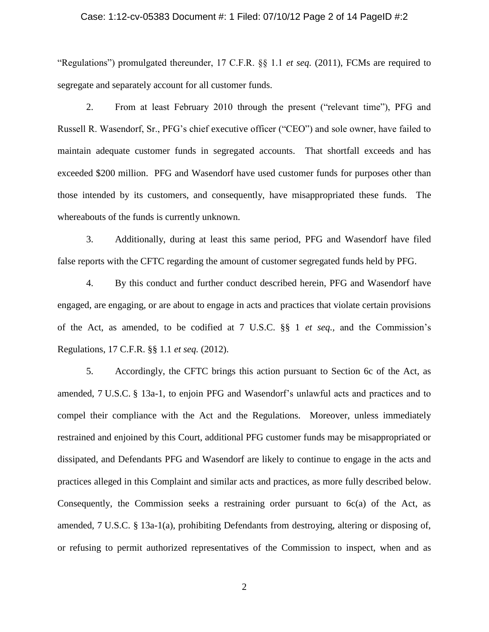#### Case: 1:12-cv-05383 Document #: 1 Filed: 07/10/12 Page 2 of 14 PageID #:2

"Regulations") promulgated thereunder, 17 C.F.R. §§ 1.1 *et seq.* (2011), FCMs are required to segregate and separately account for all customer funds.

2. From at least February 2010 through the present ("relevant time"), PFG and Russell R. Wasendorf, Sr., PFG's chief executive officer ("CEO") and sole owner, have failed to maintain adequate customer funds in segregated accounts. That shortfall exceeds and has exceeded \$200 million. PFG and Wasendorf have used customer funds for purposes other than those intended by its customers, and consequently, have misappropriated these funds. The whereabouts of the funds is currently unknown.

3. Additionally, during at least this same period, PFG and Wasendorf have filed false reports with the CFTC regarding the amount of customer segregated funds held by PFG.

4. By this conduct and further conduct described herein, PFG and Wasendorf have engaged, are engaging, or are about to engage in acts and practices that violate certain provisions of the Act, as amended, to be codified at 7 U.S.C. §§ 1 *et seq.,* and the Commission's Regulations, 17 C.F.R. §§ 1.1 *et seq.* (2012).

5. Accordingly, the CFTC brings this action pursuant to Section 6c of the Act, as amended, 7 U.S.C. § 13a-1, to enjoin PFG and Wasendorf's unlawful acts and practices and to compel their compliance with the Act and the Regulations. Moreover, unless immediately restrained and enjoined by this Court, additional PFG customer funds may be misappropriated or dissipated, and Defendants PFG and Wasendorf are likely to continue to engage in the acts and practices alleged in this Complaint and similar acts and practices, as more fully described below. Consequently, the Commission seeks a restraining order pursuant to  $6c(a)$  of the Act, as amended, 7 U.S.C. § 13a-1(a), prohibiting Defendants from destroying, altering or disposing of, or refusing to permit authorized representatives of the Commission to inspect, when and as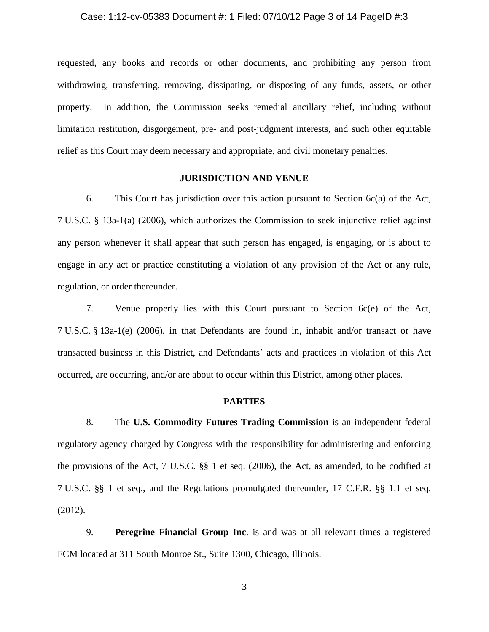#### Case: 1:12-cv-05383 Document #: 1 Filed: 07/10/12 Page 3 of 14 PageID #:3

requested, any books and records or other documents, and prohibiting any person from withdrawing, transferring, removing, dissipating, or disposing of any funds, assets, or other property. In addition, the Commission seeks remedial ancillary relief, including without limitation restitution, disgorgement, pre- and post-judgment interests, and such other equitable relief as this Court may deem necessary and appropriate, and civil monetary penalties.

## **JURISDICTION AND VENUE**

6. This Court has jurisdiction over this action pursuant to [Section 6c\(a\)](http://www.lexis.com/research/buttonTFLink?_m=cb60e38e05a534d661ad139be40760bc&_xfercite=%3ccite%20cc%3d%22USA%22%3e%3c%21%5bCDATA%5b2009%20U.S.%20Dist.%20LEXIS%20110537%5d%5d%3e%3c%2fcite%3e&_butType=4&_butStat=0&_butNum=58&_butInline=1&_butinfo=7%20U.S.C.%2013A-1&_fmtstr=FULL&docnum=3&_startdoc=1&wchp=dGLzVlz-zSkAA&_md5=73ec68e1bcd45e9cadedcbcde69dd655) of the Act, 7 [U.S.C. § 13a-1\(a\) \(2006\),](http://www.lexis.com/research/buttonTFLink?_m=cb60e38e05a534d661ad139be40760bc&_xfercite=%3ccite%20cc%3d%22USA%22%3e%3c%21%5bCDATA%5b2009%20U.S.%20Dist.%20LEXIS%20110537%5d%5d%3e%3c%2fcite%3e&_butType=4&_butStat=0&_butNum=59&_butInline=1&_butinfo=7%20U.S.C.%2013A-1&_fmtstr=FULL&docnum=3&_startdoc=1&wchp=dGLzVlz-zSkAA&_md5=5aec35253deefdb772b681f8c36399a4) which authorizes the Commission to seek injunctive relief against any person whenever it shall appear that such person has engaged, is engaging, or is about to engage in any act or practice constituting a violation of any provision of the Act or any rule, regulation, or order thereunder.

7. Venue properly lies with this Court pursuant to Section 6c(e) of the Act, 7 U.S.C. § 13a-1(e) (2006), in that Defendants are found in, inhabit and/or transact or have transacted business in this District, and Defendants' acts and practices in violation of this Act occurred, are occurring, and/or are about to occur within this District, among other places.

## **PARTIES**

8. The **U.S. Commodity Futures Trading Commission** is an independent federal regulatory agency charged by Congress with the responsibility for administering and enforcing the provisions of the Act, 7 U.S.C. §§ 1 et seq. (2006), the Act, as amended, to be codified at 7 U.S.C. §§ 1 et seq., and the Regulations promulgated thereunder, 17 C.F.R. §§ 1.1 et seq. (2012).

9. **Peregrine Financial Group Inc**. is and was at all relevant times a registered FCM located at 311 South Monroe St., Suite 1300, Chicago, Illinois.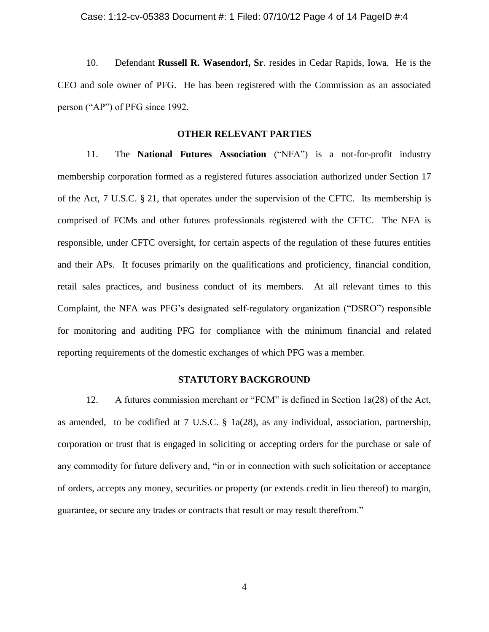10. Defendant **Russell R. Wasendorf, Sr**. resides in Cedar Rapids, Iowa. He is the CEO and sole owner of PFG. He has been registered with the Commission as an associated person ("AP") of PFG since 1992.

## **OTHER RELEVANT PARTIES**

11. The **National Futures Association** ("NFA") is a not-for-profit industry membership corporation formed as a registered futures association authorized under Section 17 of the Act, 7 U.S.C. § 21, that operates under the supervision of the CFTC. Its membership is comprised of FCMs and other futures professionals registered with the CFTC. The NFA is responsible, under CFTC oversight, for certain aspects of the regulation of these futures entities and their APs. It focuses primarily on the qualifications and proficiency, financial condition, retail sales practices, and business conduct of its members. At all relevant times to this Complaint, the NFA was PFG's designated self-regulatory organization ("DSRO") responsible for monitoring and auditing PFG for compliance with the minimum financial and related reporting requirements of the domestic exchanges of which PFG was a member.

### **STATUTORY BACKGROUND**

12. A futures commission merchant or "FCM" is defined in Section 1a(28) of the Act, as amended, to be codified at 7 U.S.C. § 1a(28), as any individual, association, partnership, corporation or trust that is engaged in soliciting or accepting orders for the purchase or sale of any commodity for future delivery and, "in or in connection with such solicitation or acceptance of orders, accepts any money, securities or property (or extends credit in lieu thereof) to margin, guarantee, or secure any trades or contracts that result or may result therefrom."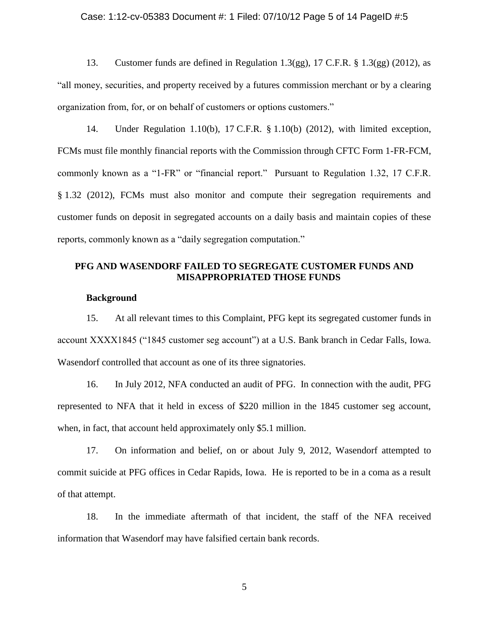### Case: 1:12-cv-05383 Document #: 1 Filed: 07/10/12 Page 5 of 14 PageID #:5

13. Customer funds are defined in Regulation 1.3(gg), 17 C.F.R. § 1.3(gg) (2012), as "all money, securities, and property received by a futures commission merchant or by a clearing organization from, for, or on behalf of customers or options customers."

14. Under Regulation 1.10(b), 17 C.F.R. § 1.10(b) (2012), with limited exception, FCMs must file monthly financial reports with the Commission through CFTC Form 1-FR-FCM, commonly known as a "1-FR" or "financial report." Pursuant to Regulation 1.32, 17 C.F.R. § 1.32 (2012), FCMs must also monitor and compute their segregation requirements and customer funds on deposit in segregated accounts on a daily basis and maintain copies of these reports, commonly known as a "daily segregation computation."

## **PFG AND WASENDORF FAILED TO SEGREGATE CUSTOMER FUNDS AND MISAPPROPRIATED THOSE FUNDS**

### **Background**

15. At all relevant times to this Complaint, PFG kept its segregated customer funds in account XXXX1845 ("1845 customer seg account") at a U.S. Bank branch in Cedar Falls, Iowa. Wasendorf controlled that account as one of its three signatories.

16. In July 2012, NFA conducted an audit of PFG. In connection with the audit, PFG represented to NFA that it held in excess of \$220 million in the 1845 customer seg account, when, in fact, that account held approximately only \$5.1 million.

17. On information and belief, on or about July 9, 2012, Wasendorf attempted to commit suicide at PFG offices in Cedar Rapids, Iowa. He is reported to be in a coma as a result of that attempt.

18. In the immediate aftermath of that incident, the staff of the NFA received information that Wasendorf may have falsified certain bank records.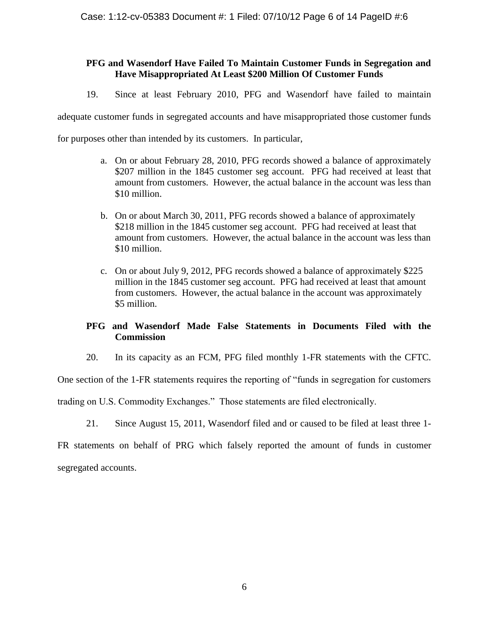# **PFG and Wasendorf Have Failed To Maintain Customer Funds in Segregation and Have Misappropriated At Least \$200 Million Of Customer Funds**

19. Since at least February 2010, PFG and Wasendorf have failed to maintain

adequate customer funds in segregated accounts and have misappropriated those customer funds

for purposes other than intended by its customers. In particular,

- a. On or about February 28, 2010, PFG records showed a balance of approximately \$207 million in the 1845 customer seg account. PFG had received at least that amount from customers. However, the actual balance in the account was less than \$10 million.
- b. On or about March 30, 2011, PFG records showed a balance of approximately \$218 million in the 1845 customer seg account. PFG had received at least that amount from customers. However, the actual balance in the account was less than \$10 million.
- c. On or about July 9, 2012, PFG records showed a balance of approximately \$225 million in the 1845 customer seg account. PFG had received at least that amount from customers. However, the actual balance in the account was approximately \$5 million.

# **PFG and Wasendorf Made False Statements in Documents Filed with the Commission**

20. In its capacity as an FCM, PFG filed monthly 1-FR statements with the CFTC.

One section of the 1-FR statements requires the reporting of "funds in segregation for customers

trading on U.S. Commodity Exchanges." Those statements are filed electronically.

21. Since August 15, 2011, Wasendorf filed and or caused to be filed at least three 1-

FR statements on behalf of PRG which falsely reported the amount of funds in customer segregated accounts.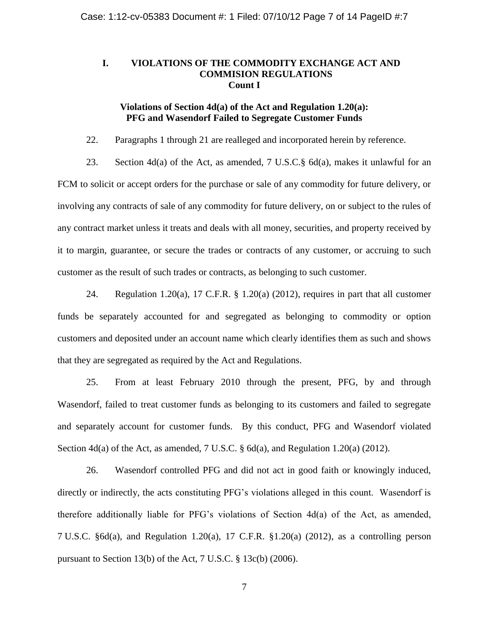# **I. VIOLATIONS OF THE COMMODITY EXCHANGE ACT AND COMMISION REGULATIONS Count I**

## **Violations of Section 4d(a) of the Act and Regulation 1.20(a): PFG and Wasendorf Failed to Segregate Customer Funds**

22. Paragraphs 1 through 21 are realleged and incorporated herein by reference.

23. Section 4d(a) of the Act, as amended, 7 U.S.C.§ 6d(a), makes it unlawful for an FCM to solicit or accept orders for the purchase or sale of any commodity for future delivery, or involving any contracts of sale of any commodity for future delivery, on or subject to the rules of any contract market unless it treats and deals with all money, securities, and property received by it to margin, guarantee, or secure the trades or contracts of any customer, or accruing to such customer as the result of such trades or contracts, as belonging to such customer.

24. Regulation 1.20(a), 17 C.F.R. § 1.20(a) (2012), requires in part that all customer funds be separately accounted for and segregated as belonging to commodity or option customers and deposited under an account name which clearly identifies them as such and shows that they are segregated as required by the Act and Regulations.

25. From at least February 2010 through the present, PFG, by and through Wasendorf, failed to treat customer funds as belonging to its customers and failed to segregate and separately account for customer funds. By this conduct, PFG and Wasendorf violated Section 4d(a) of the Act, as amended, 7 U.S.C. § 6d(a), and Regulation 1.20(a) (2012).

26. Wasendorf controlled PFG and did not act in good faith or knowingly induced, directly or indirectly, the acts constituting PFG's violations alleged in this count. Wasendorf is therefore additionally liable for PFG's violations of Section 4d(a) of the Act, as amended, 7 U.S.C. §6d(a), and Regulation 1.20(a), 17 C.F.R. §1.20(a) (2012), as a controlling person pursuant to Section 13(b) of the Act, 7 U.S.C. § 13c(b) (2006).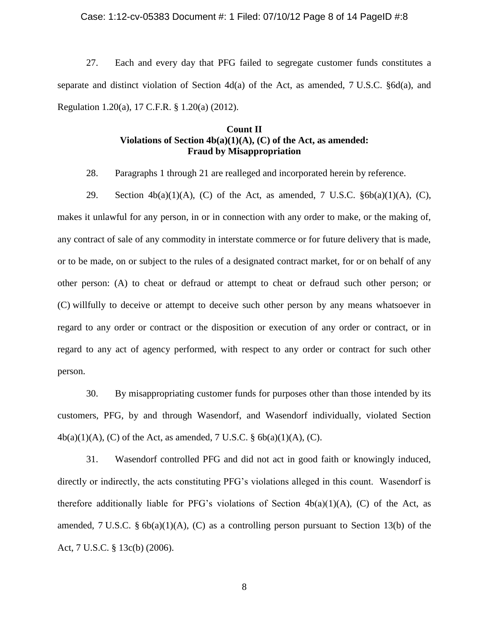#### Case: 1:12-cv-05383 Document #: 1 Filed: 07/10/12 Page 8 of 14 PageID #:8

27. Each and every day that PFG failed to segregate customer funds constitutes a separate and distinct violation of Section  $4d(a)$  of the Act, as amended, 7 U.S.C. §6d(a), and Regulation 1.20(a), 17 C.F.R. § 1.20(a) (2012).

# **Count II Violations of Section 4b(a)(1)(A), (C) of the Act, as amended: Fraud by Misappropriation**

28. Paragraphs 1 through 21 are realleged and incorporated herein by reference.

29. Section  $4b(a)(1)(A)$ , (C) of the Act, as amended, 7 U.S.C.  $§6b(a)(1)(A)$ , (C), makes it unlawful for any person, in or in connection with any order to make, or the making of, any contract of sale of any commodity in interstate commerce or for future delivery that is made, or to be made, on or subject to the rules of a designated contract market, for or on behalf of any other person: (A) to cheat or defraud or attempt to cheat or defraud such other person; or (C) willfully to deceive or attempt to deceive such other person by any means whatsoever in regard to any order or contract or the disposition or execution of any order or contract, or in regard to any act of agency performed, with respect to any order or contract for such other person.

30. By misappropriating customer funds for purposes other than those intended by its customers, PFG, by and through Wasendorf, and Wasendorf individually, violated Section  $4b(a)(1)(A)$ , (C) of the Act, as amended, 7 U.S.C. §  $6b(a)(1)(A)$ , (C).

31. Wasendorf controlled PFG and did not act in good faith or knowingly induced, directly or indirectly, the acts constituting PFG's violations alleged in this count. Wasendorf is therefore additionally liable for PFG's violations of Section  $4b(a)(1)(A)$ , (C) of the Act, as amended, 7 U.S.C. §  $6b(a)(1)(A)$ , (C) as a controlling person pursuant to Section 13(b) of the Act, 7 U.S.C. § 13c(b) (2006).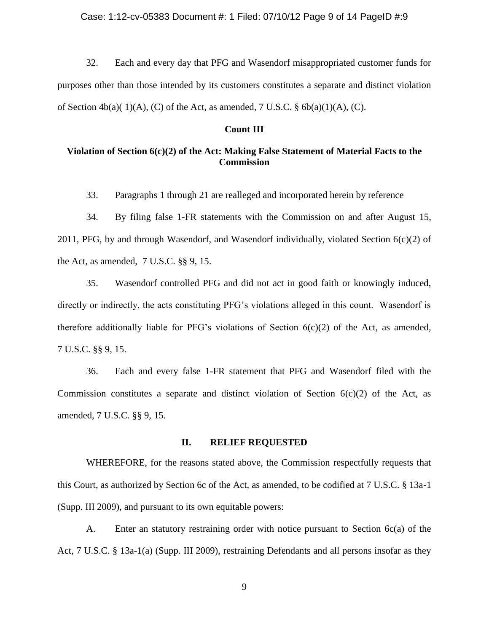#### Case: 1:12-cv-05383 Document #: 1 Filed: 07/10/12 Page 9 of 14 PageID #:9

32. Each and every day that PFG and Wasendorf misappropriated customer funds for purposes other than those intended by its customers constitutes a separate and distinct violation of Section  $4b(a)(1)(A)$ , (C) of the Act, as amended, 7 U.S.C. §  $6b(a)(1)(A)$ , (C).

### **Count III**

# **Violation of Section 6(c)(2) of the Act: Making False Statement of Material Facts to the Commission**

33. Paragraphs 1 through 21 are realleged and incorporated herein by reference

34. By filing false 1-FR statements with the Commission on and after August 15, 2011, PFG, by and through Wasendorf, and Wasendorf individually, violated Section  $6(c)(2)$  of the Act, as amended, 7 U.S.C. §§ 9, 15.

35. Wasendorf controlled PFG and did not act in good faith or knowingly induced, directly or indirectly, the acts constituting PFG's violations alleged in this count. Wasendorf is therefore additionally liable for PFG's violations of Section 6(c)(2) of the Act, as amended, 7 U.S.C. §§ 9, 15.

36. Each and every false 1-FR statement that PFG and Wasendorf filed with the Commission constitutes a separate and distinct violation of Section  $6(c)(2)$  of the Act, as amended, 7 U.S.C. §§ 9, 15.

### **II. RELIEF REQUESTED**

WHEREFORE, for the reasons stated above, the Commission respectfully requests that this Court, as authorized by Section 6c of the Act, as amended, to be codified at 7 U.S.C. § 13a-1 (Supp. III 2009), and pursuant to its own equitable powers:

A. Enter an statutory restraining order with notice pursuant to Section  $6c(a)$  of the Act, 7 U.S.C. § 13a-1(a) (Supp. III 2009), restraining Defendants and all persons insofar as they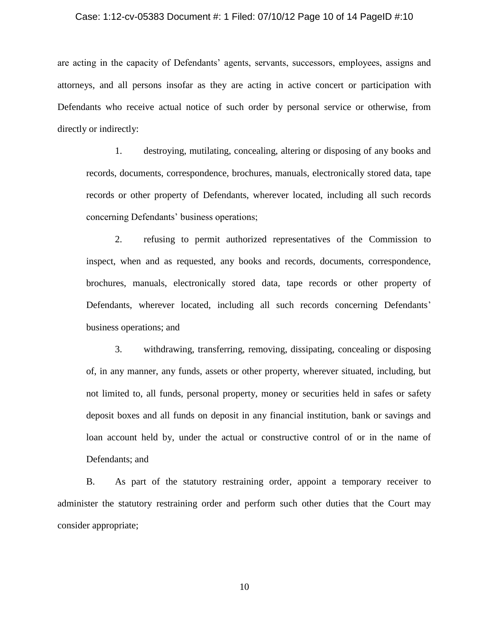#### Case: 1:12-cv-05383 Document #: 1 Filed: 07/10/12 Page 10 of 14 PageID #:10

are acting in the capacity of Defendants' agents, servants, successors, employees, assigns and attorneys, and all persons insofar as they are acting in active concert or participation with Defendants who receive actual notice of such order by personal service or otherwise, from directly or indirectly:

1. destroying, mutilating, concealing, altering or disposing of any books and records, documents, correspondence, brochures, manuals, electronically stored data, tape records or other property of Defendants, wherever located, including all such records concerning Defendants' business operations;

2. refusing to permit authorized representatives of the Commission to inspect, when and as requested, any books and records, documents, correspondence, brochures, manuals, electronically stored data, tape records or other property of Defendants, wherever located, including all such records concerning Defendants' business operations; and

3. withdrawing, transferring, removing, dissipating, concealing or disposing of, in any manner, any funds, assets or other property, wherever situated, including, but not limited to, all funds, personal property, money or securities held in safes or safety deposit boxes and all funds on deposit in any financial institution, bank or savings and loan account held by, under the actual or constructive control of or in the name of Defendants; and

B. As part of the statutory restraining order, appoint a temporary receiver to administer the statutory restraining order and perform such other duties that the Court may consider appropriate;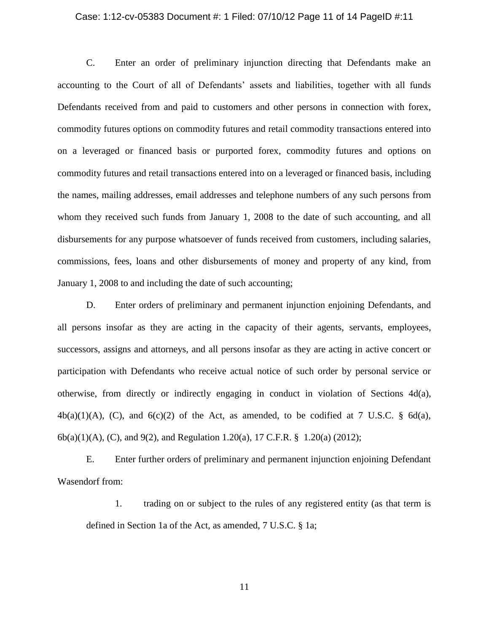#### Case: 1:12-cv-05383 Document #: 1 Filed: 07/10/12 Page 11 of 14 PageID #:11

C. Enter an order of preliminary injunction directing that Defendants make an accounting to the Court of all of Defendants' assets and liabilities, together with all funds Defendants received from and paid to customers and other persons in connection with forex, commodity futures options on commodity futures and retail commodity transactions entered into on a leveraged or financed basis or purported forex, commodity futures and options on commodity futures and retail transactions entered into on a leveraged or financed basis, including the names, mailing addresses, email addresses and telephone numbers of any such persons from whom they received such funds from January 1, 2008 to the date of such accounting, and all disbursements for any purpose whatsoever of funds received from customers, including salaries, commissions, fees, loans and other disbursements of money and property of any kind, from January 1, 2008 to and including the date of such accounting;

D. Enter orders of preliminary and permanent injunction enjoining Defendants, and all persons insofar as they are acting in the capacity of their agents, servants, employees, successors, assigns and attorneys, and all persons insofar as they are acting in active concert or participation with Defendants who receive actual notice of such order by personal service or otherwise, from directly or indirectly engaging in conduct in violation of Sections 4d(a),  $4b(a)(1)(A)$ , (C), and  $6(c)(2)$  of the Act, as amended, to be codified at 7 U.S.C. § 6d(a), 6b(a)(1)(A), (C), and 9(2), and Regulation 1.20(a), 17 C.F.R. § 1.20(a) (2012);

E. Enter further orders of preliminary and permanent injunction enjoining Defendant Wasendorf from:

1. trading on or subject to the rules of any registered entity (as that term is defined in Section 1a of the Act, as amended, 7 U.S.C. § 1a;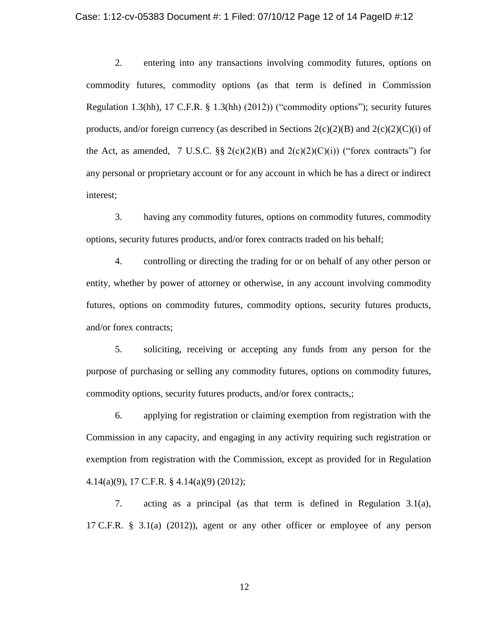#### Case: 1:12-cv-05383 Document #: 1 Filed: 07/10/12 Page 12 of 14 PageID #:12

2. entering into any transactions involving commodity futures, options on commodity futures, commodity options (as that term is defined in Commission Regulation 1.3(hh), 17 C.F.R. § 1.3(hh) (2012)) ("commodity options"); security futures products, and/or foreign currency (as described in Sections  $2(c)(2)(B)$  and  $2(c)(2)(C)(i)$  of the Act, as amended, 7 U.S.C.  $\S$  2(c)(2)(B) and 2(c)(2)(C)(i)) ("forex contracts") for any personal or proprietary account or for any account in which he has a direct or indirect interest;

3. having any commodity futures, options on commodity futures, commodity options, security futures products, and/or forex contracts traded on his behalf;

4. controlling or directing the trading for or on behalf of any other person or entity, whether by power of attorney or otherwise, in any account involving commodity futures, options on commodity futures, commodity options, security futures products, and/or forex contracts;

5. soliciting, receiving or accepting any funds from any person for the purpose of purchasing or selling any commodity futures, options on commodity futures, commodity options, security futures products, and/or forex contracts,;

6. applying for registration or claiming exemption from registration with the Commission in any capacity, and engaging in any activity requiring such registration or exemption from registration with the Commission, except as provided for in Regulation 4.14(a)(9), 17 C.F.R. § 4.14(a)(9) (2012);

7. acting as a principal (as that term is defined in Regulation 3.1(a), 17 C.F.R. § 3.1(a) (2012)), agent or any other officer or employee of any person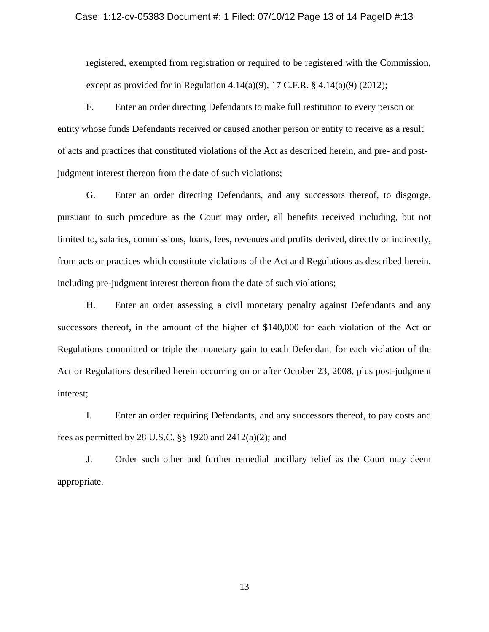#### Case: 1:12-cv-05383 Document #: 1 Filed: 07/10/12 Page 13 of 14 PageID #:13

registered, exempted from registration or required to be registered with the Commission, except as provided for in Regulation 4.14(a)(9), 17 C.F.R.  $\S$  4.14(a)(9) (2012);

F. Enter an order directing Defendants to make full restitution to every person or entity whose funds Defendants received or caused another person or entity to receive as a result of acts and practices that constituted violations of the Act as described herein, and pre- and postjudgment interest thereon from the date of such violations;

G. Enter an order directing Defendants, and any successors thereof, to disgorge, pursuant to such procedure as the Court may order, all benefits received including, but not limited to, salaries, commissions, loans, fees, revenues and profits derived, directly or indirectly, from acts or practices which constitute violations of the Act and Regulations as described herein, including pre-judgment interest thereon from the date of such violations;

H. Enter an order assessing a civil monetary penalty against Defendants and any successors thereof, in the amount of the higher of \$140,000 for each violation of the Act or Regulations committed or triple the monetary gain to each Defendant for each violation of the Act or Regulations described herein occurring on or after October 23, 2008, plus post-judgment interest;

I. Enter an order requiring Defendants, and any successors thereof, to pay costs and fees as permitted by 28 U.S.C. §§ 1920 and 2412(a)(2); and

J. Order such other and further remedial ancillary relief as the Court may deem appropriate.